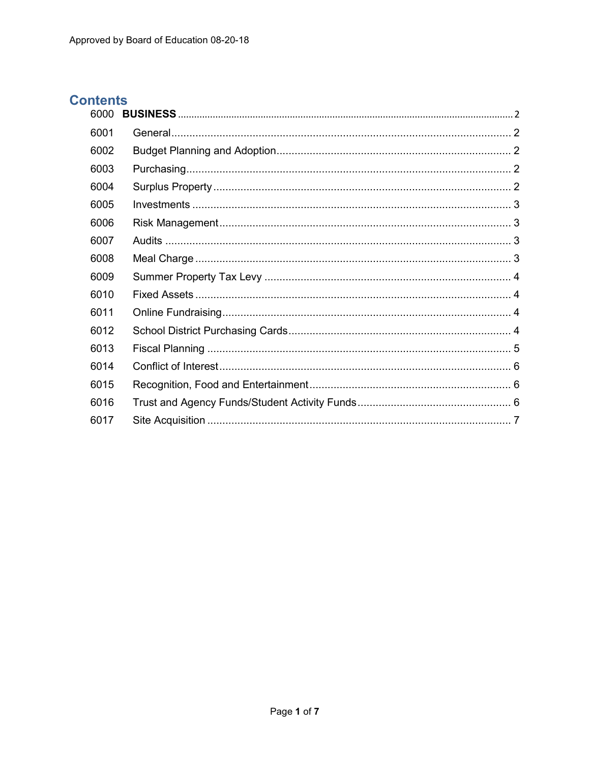# **Contents**

| 6000 |  |
|------|--|
| 6001 |  |
| 6002 |  |
| 6003 |  |
| 6004 |  |
| 6005 |  |
| 6006 |  |
| 6007 |  |
| 6008 |  |
| 6009 |  |
| 6010 |  |
| 6011 |  |
| 6012 |  |
| 6013 |  |
| 6014 |  |
| 6015 |  |
| 6016 |  |
| 6017 |  |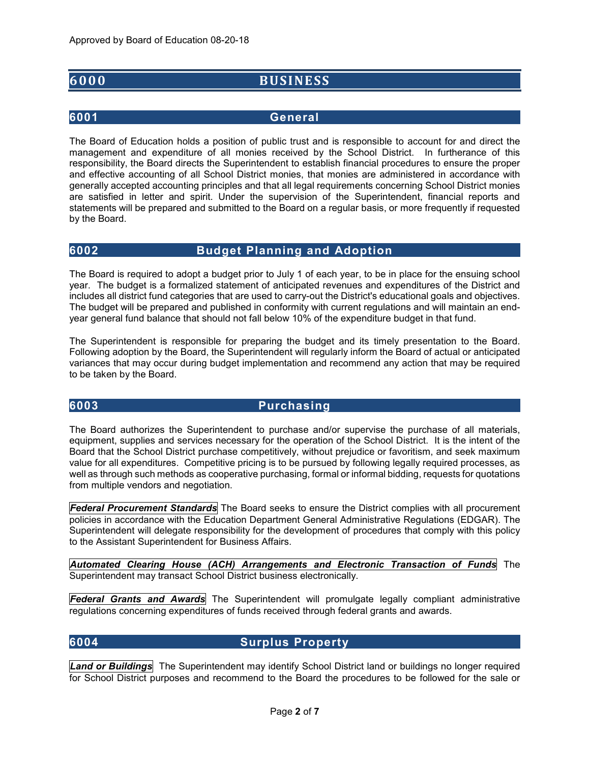# <span id="page-1-0"></span>**6000 BUSINESS**

## <span id="page-1-1"></span>**6001 General**

The Board of Education holds a position of public trust and is responsible to account for and direct the management and expenditure of all monies received by the School District. In furtherance of this responsibility, the Board directs the Superintendent to establish financial procedures to ensure the proper and effective accounting of all School District monies, that monies are administered in accordance with generally accepted accounting principles and that all legal requirements concerning School District monies are satisfied in letter and spirit. Under the supervision of the Superintendent, financial reports and statements will be prepared and submitted to the Board on a regular basis, or more frequently if requested by the Board.

# <span id="page-1-2"></span>**6002 Budget Planning and Adoption**

The Board is required to adopt a budget prior to July 1 of each year, to be in place for the ensuing school year. The budget is a formalized statement of anticipated revenues and expenditures of the District and includes all district fund categories that are used to carry-out the District's educational goals and objectives. The budget will be prepared and published in conformity with current regulations and will maintain an endyear general fund balance that should not fall below 10% of the expenditure budget in that fund.

The Superintendent is responsible for preparing the budget and its timely presentation to the Board. Following adoption by the Board, the Superintendent will regularly inform the Board of actual or anticipated variances that may occur during budget implementation and recommend any action that may be required to be taken by the Board.

### <span id="page-1-3"></span>**6003 Purchasing**

The Board authorizes the Superintendent to purchase and/or supervise the purchase of all materials, equipment, supplies and services necessary for the operation of the School District. It is the intent of the Board that the School District purchase competitively, without prejudice or favoritism, and seek maximum value for all expenditures. Competitive pricing is to be pursued by following legally required processes, as well as through such methods as cooperative purchasing, formal or informal bidding, requests for quotations from multiple vendors and negotiation.

*Federal Procurement Standards* The Board seeks to ensure the District complies with all procurement policies in accordance with the Education Department General Administrative Regulations (EDGAR). The Superintendent will delegate responsibility for the development of procedures that comply with this policy to the Assistant Superintendent for Business Affairs.

*Automated Clearing House (ACH) Arrangements and Electronic Transaction of Funds* The Superintendent may transact School District business electronically.

*Federal Grants and Awards* The Superintendent will promulgate legally compliant administrative regulations concerning expenditures of funds received through federal grants and awards.

### <span id="page-1-4"></span>**6004 Surplus Property**

*Land or Buildings* The Superintendent may identify School District land or buildings no longer required for School District purposes and recommend to the Board the procedures to be followed for the sale or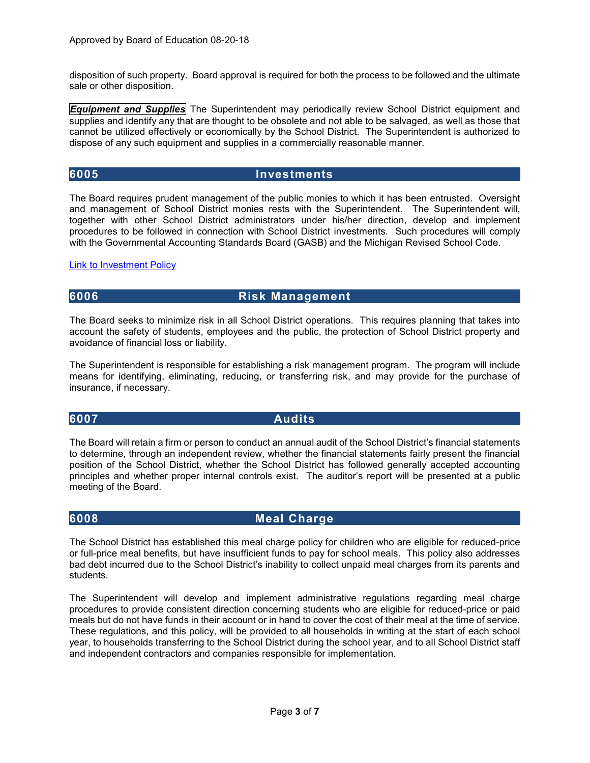disposition of such property. Board approval is required for both the process to be followed and the ultimate sale or other disposition.

*Equipment and Supplies* The Superintendent may periodically review School District equipment and supplies and identify any that are thought to be obsolete and not able to be salvaged, as well as those that cannot be utilized effectively or economically by the School District. The Superintendent is authorized to dispose of any such equipment and supplies in a commercially reasonable manner.

### <span id="page-2-0"></span>**6005 Investments**

The Board requires prudent management of the public monies to which it has been entrusted. Oversight and management of School District monies rests with the Superintendent. The Superintendent will, together with other School District administrators under his/her direction, develop and implement procedures to be followed in connection with School District investments. Such procedures will comply with the Governmental Accounting Standards Board (GASB) and the Michigan Revised School Code.

### **[Link to Investment Policy](https://rochesterk12mius.finalsite.com/fs/resource-manager/view/3e2717ca-81ac-4822-9bf1-1cf9562268d6)**

# <span id="page-2-1"></span>**6006 Risk Management**

The Board seeks to minimize risk in all School District operations. This requires planning that takes into account the safety of students, employees and the public, the protection of School District property and avoidance of financial loss or liability.

The Superintendent is responsible for establishing a risk management program. The program will include means for identifying, eliminating, reducing, or transferring risk, and may provide for the purchase of insurance, if necessary.

### <span id="page-2-2"></span>**6007 Audits**

The Board will retain a firm or person to conduct an annual audit of the School District's financial statements to determine, through an independent review, whether the financial statements fairly present the financial position of the School District, whether the School District has followed generally accepted accounting principles and whether proper internal controls exist. The auditor's report will be presented at a public meeting of the Board.

### <span id="page-2-3"></span>**6008 Meal Charge**

The School District has established this meal charge policy for children who are eligible for reduced-price or full-price meal benefits, but have insufficient funds to pay for school meals. This policy also addresses bad debt incurred due to the School District's inability to collect unpaid meal charges from its parents and students.

The Superintendent will develop and implement administrative regulations regarding meal charge procedures to provide consistent direction concerning students who are eligible for reduced-price or paid meals but do not have funds in their account or in hand to cover the cost of their meal at the time of service. These regulations, and this policy, will be provided to all households in writing at the start of each school year, to households transferring to the School District during the school year, and to all School District staff and independent contractors and companies responsible for implementation.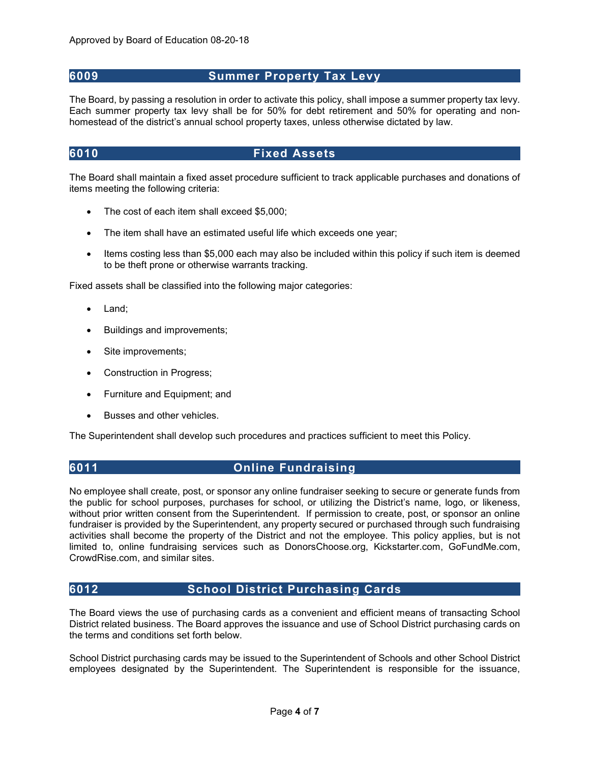## <span id="page-3-0"></span>**6009 Summer Property Tax Levy**

The Board, by passing a resolution in order to activate this policy, shall impose a summer property tax levy. Each summer property tax levy shall be for 50% for debt retirement and 50% for operating and nonhomestead of the district's annual school property taxes, unless otherwise dictated by law.

## <span id="page-3-1"></span>**6010 Fixed Assets**

The Board shall maintain a fixed asset procedure sufficient to track applicable purchases and donations of items meeting the following criteria:

- The cost of each item shall exceed \$5,000;
- The item shall have an estimated useful life which exceeds one year;
- Items costing less than \$5,000 each may also be included within this policy if such item is deemed to be theft prone or otherwise warrants tracking.

Fixed assets shall be classified into the following major categories:

- Land;
- Buildings and improvements;
- Site improvements:
- Construction in Progress;
- Furniture and Equipment; and
- Busses and other vehicles.

<span id="page-3-2"></span>The Superintendent shall develop such procedures and practices sufficient to meet this Policy.

## **6011 Online Fundraising**

No employee shall create, post, or sponsor any online fundraiser seeking to secure or generate funds from the public for school purposes, purchases for school, or utilizing the District's name, logo, or likeness, without prior written consent from the Superintendent. If permission to create, post, or sponsor an online fundraiser is provided by the Superintendent, any property secured or purchased through such fundraising activities shall become the property of the District and not the employee. This policy applies, but is not limited to, online fundraising services such as DonorsChoose.org, Kickstarter.com, GoFundMe.com, CrowdRise.com, and similar sites.

### <span id="page-3-3"></span>**6012 School District Purchasing Cards**

The Board views the use of purchasing cards as a convenient and efficient means of transacting School District related business. The Board approves the issuance and use of School District purchasing cards on the terms and conditions set forth below.

School District purchasing cards may be issued to the Superintendent of Schools and other School District employees designated by the Superintendent. The Superintendent is responsible for the issuance,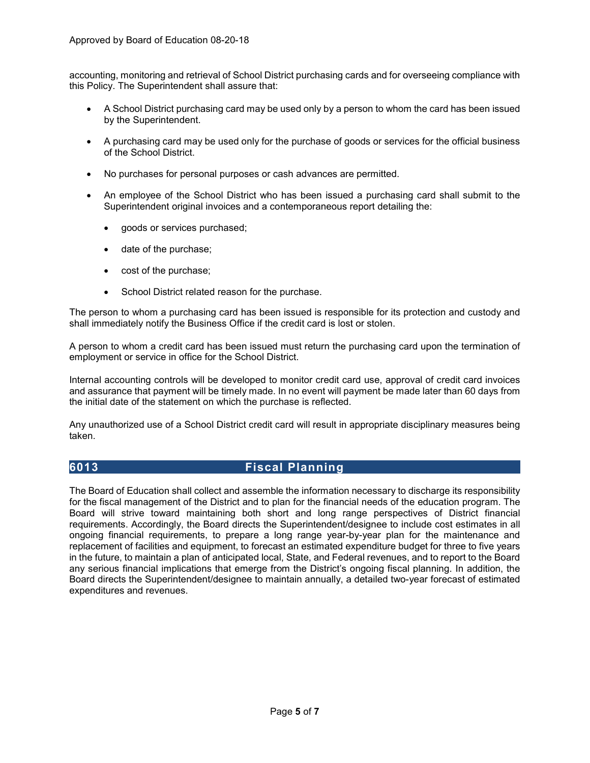accounting, monitoring and retrieval of School District purchasing cards and for overseeing compliance with this Policy. The Superintendent shall assure that:

- A School District purchasing card may be used only by a person to whom the card has been issued by the Superintendent.
- A purchasing card may be used only for the purchase of goods or services for the official business of the School District.
- No purchases for personal purposes or cash advances are permitted.
- An employee of the School District who has been issued a purchasing card shall submit to the Superintendent original invoices and a contemporaneous report detailing the:
	- goods or services purchased;
	- date of the purchase;
	- cost of the purchase;
	- School District related reason for the purchase.

The person to whom a purchasing card has been issued is responsible for its protection and custody and shall immediately notify the Business Office if the credit card is lost or stolen.

A person to whom a credit card has been issued must return the purchasing card upon the termination of employment or service in office for the School District.

Internal accounting controls will be developed to monitor credit card use, approval of credit card invoices and assurance that payment will be timely made. In no event will payment be made later than 60 days from the initial date of the statement on which the purchase is reflected.

Any unauthorized use of a School District credit card will result in appropriate disciplinary measures being taken.

# <span id="page-4-0"></span>**6013 Fiscal Planning**

The Board of Education shall collect and assemble the information necessary to discharge its responsibility for the fiscal management of the District and to plan for the financial needs of the education program. The Board will strive toward maintaining both short and long range perspectives of District financial requirements. Accordingly, the Board directs the Superintendent/designee to include cost estimates in all ongoing financial requirements, to prepare a long range year-by-year plan for the maintenance and replacement of facilities and equipment, to forecast an estimated expenditure budget for three to five years in the future, to maintain a plan of anticipated local, State, and Federal revenues, and to report to the Board any serious financial implications that emerge from the District's ongoing fiscal planning. In addition, the Board directs the Superintendent/designee to maintain annually, a detailed two-year forecast of estimated expenditures and revenues.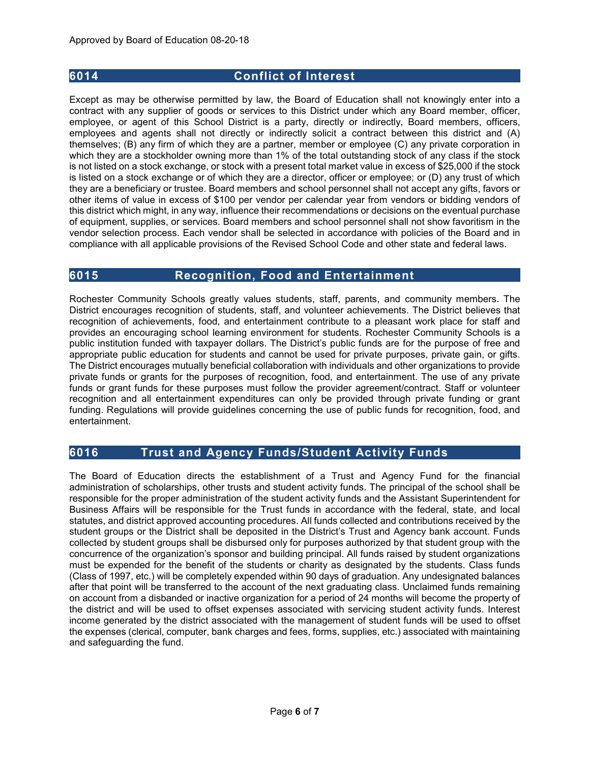## <span id="page-5-0"></span>**6014 Conflict of Interest**

Except as may be otherwise permitted by law, the Board of Education shall not knowingly enter into a contract with any supplier of goods or services to this District under which any Board member, officer, employee, or agent of this School District is a party, directly or indirectly, Board members, officers, employees and agents shall not directly or indirectly solicit a contract between this district and (A) themselves; (B) any firm of which they are a partner, member or employee (C) any private corporation in which they are a stockholder owning more than 1% of the total outstanding stock of any class if the stock is not listed on a stock exchange, or stock with a present total market value in excess of \$25,000 if the stock is listed on a stock exchange or of which they are a director, officer or employee; or (D) any trust of which they are a beneficiary or trustee. Board members and school personnel shall not accept any gifts, favors or other items of value in excess of \$100 per vendor per calendar year from vendors or bidding vendors of this district which might, in any way, influence their recommendations or decisions on the eventual purchase of equipment, supplies, or services. Board members and school personnel shall not show favoritism in the vendor selection process. Each vendor shall be selected in accordance with policies of the Board and in compliance with all applicable provisions of the Revised School Code and other state and federal laws.

### <span id="page-5-1"></span>**6015 Recognition, Food and Entertainment**

Rochester Community Schools greatly values students, staff, parents, and community members. The District encourages recognition of students, staff, and volunteer achievements. The District believes that recognition of achievements, food, and entertainment contribute to a pleasant work place for staff and provides an encouraging school learning environment for students. Rochester Community Schools is a public institution funded with taxpayer dollars. The District's public funds are for the purpose of free and appropriate public education for students and cannot be used for private purposes, private gain, or gifts. The District encourages mutually beneficial collaboration with individuals and other organizations to provide private funds or grants for the purposes of recognition, food, and entertainment. The use of any private funds or grant funds for these purposes must follow the provider agreement/contract. Staff or volunteer recognition and all entertainment expenditures can only be provided through private funding or grant funding. Regulations will provide guidelines concerning the use of public funds for recognition, food, and entertainment.

# <span id="page-5-2"></span>**6016 Trust and Agency Funds/Student Activity Funds**

The Board of Education directs the establishment of a Trust and Agency Fund for the financial administration of scholarships, other trusts and student activity funds. The principal of the school shall be responsible for the proper administration of the student activity funds and the Assistant Superintendent for Business Affairs will be responsible for the Trust funds in accordance with the federal, state, and local statutes, and district approved accounting procedures. All funds collected and contributions received by the student groups or the District shall be deposited in the District's Trust and Agency bank account. Funds collected by student groups shall be disbursed only for purposes authorized by that student group with the concurrence of the organization's sponsor and building principal. All funds raised by student organizations must be expended for the benefit of the students or charity as designated by the students. Class funds (Class of 1997, etc.) will be completely expended within 90 days of graduation. Any undesignated balances after that point will be transferred to the account of the next graduating class. Unclaimed funds remaining on account from a disbanded or inactive organization for a period of 24 months will become the property of the district and will be used to offset expenses associated with servicing student activity funds. Interest income generated by the district associated with the management of student funds will be used to offset the expenses (clerical, computer, bank charges and fees, forms, supplies, etc.) associated with maintaining and safeguarding the fund.